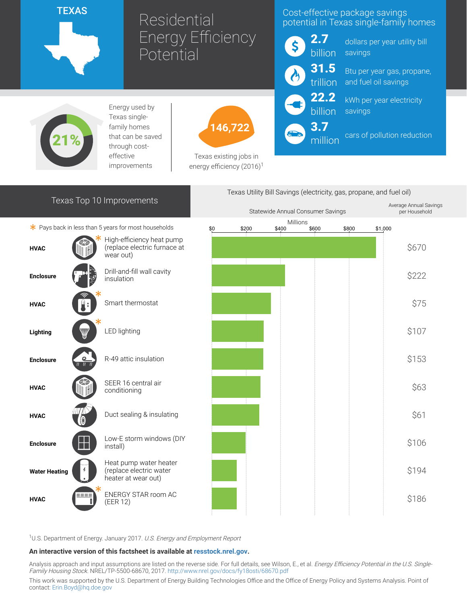

# Residential Energy Efficiency **Potential**

## Cost-effective package savings potential in Texas single-family homes



22.2 billion

3.7

million

dollars per year utility bill savings

trillion Btu per year gas, propane, and fuel oil savings

> kWh per year electricity savings

cars of pollution reduction



Energy used by Texas singlefamily homes that can be saved through costeffective improvements



Texas existing jobs in energy efficiency  $(2016)^1$ 

## Texas Top 10 Improvements

 $*$  Pays back in less than 5 years for most households





<sup>1</sup>U.S. Department of Energy. January 2017. U.S. Energy and Employment Report

#### An interactive version of this factsheet is available at [resstock.nrel.gov.](https://resstock.nrel.gov/)

Analysis approach and input assumptions are listed on the reverse side. For full details, see Wilson, E., et al. Energy Efficiency Potential in the U.S. Single-Family Housing Stock. NREL/TP-5500-68670, 2017. <http://www.nrel.gov/docs/fy18osti/68670.pdf>

This work was supported by the U.S. Department of Energy Building Technologies Office and the Office of Energy Policy and Systems Analysis. Point of contact: [Erin.Boyd@hq.doe.gov](mailto:Erin.Boyd@hq.doe.gov)